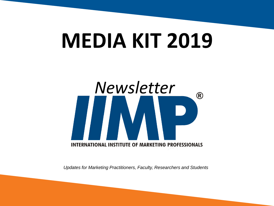# **MEDIA KIT 2019**



*Updates for Marketing Practitioners, Faculty, Researchers and Students*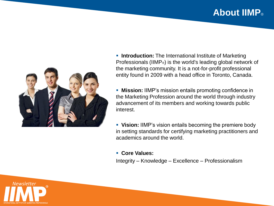# **About IIMP**®



- **Introduction:** The International Institute of Marketing Professionals (IIMP®) is the world's leading global network of the marketing community. It is a not-for-profit professional entity found in 2009 with a head office in Toronto, Canada.
- **Mission:** IIMP's mission entails promoting confidence in the Marketing Profession around the world through industry advancement of its members and working towards public interest.
- **Vision:** IIMP's vision entails becoming the premiere body in setting standards for certifying marketing practitioners and academics around the world.
- **Core Values:**

Integrity – Knowledge – Excellence – Professionalism

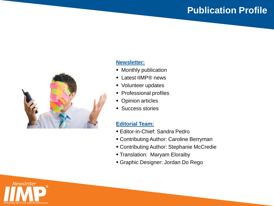### **Publication Profile**



#### **Newsletter:**

- Monthly publication
- Latest IIMP® news
- Volunteer updates
- Professional profiles
- Opinion articles
- **Success stories**

#### **Editorial Team:**

- Editor-in-Chief: Sandra Pedro
- Contributing Author: Caroline Berryman
- Contributing Author: Stephanie McCredie
- **Translation: Maryam Eloraiby**
- Graphic Designer: Jordan Do Rego

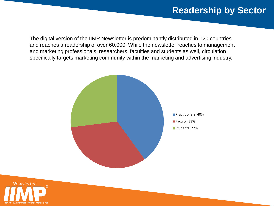### **Readership by Sector**

The digital version of the IIMP Newsletter is predominantly distributed in 120 countries and reaches a readership of over 60,000. While the newsletter reaches to management and marketing professionals, researchers, faculties and students as well, circulation specifically targets marketing community within the marketing and advertising industry.



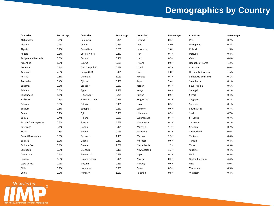# **Demographics by Country**

| Countries            | Percentage | <b>Countries</b>        | Percentage | <b>Countries</b> | Percentage | <b>Countries</b>          | Percentage |
|----------------------|------------|-------------------------|------------|------------------|------------|---------------------------|------------|
| Afghanistan          | 0.6%       | Colombia                | 0.4%       | Iceland          | 0.3%       | Peru                      | 0.2%       |
| Albania              | 0.4%       | Congo                   | 0.1%       | India            | 4.0%       | Philippines               | 0.4%       |
| Algeria              | 0.7%       | Costa Rica              | 0.6%       | Indonesia        | 1.6%       | Poland                    | 1.9%       |
| Angola               | 0.3%       | Côte D'Ivoire           | 0.1%       | Iran             | 0.7%       | Portugal                  | 0.8%       |
| Antigua and Barbuda  | 0.3%       | Croatia                 | 0.7%       | Iraq             | 0.5%       | Qatar                     | 0.4%       |
| Argentina            | 1.6%       | Cyprus                  | 0.7%       | Ireland          | 0.5%       | Republic of Korea         | 1.2%       |
| Armenia              | 0.5%       | Czech Republic          | 0.6%       | Israel           | 0.7%       | Romania                   | 0.6%       |
| Australia            | 2.8%       | Congo (DR)              | 0.1%       | Italy            | 2.0%       | <b>Russian Federation</b> | 1.5%       |
| Austria              | 0.8%       | Denmark                 | 1.0%       | Jamaica          | 0.7%       | Saint Kitts and Nevis     | 0.1%       |
| Azerbaijan           | 0.4%       | Djibouti                | 0.1%       | Japan            | 2.4%       | Saint Lucia               | 0.1%       |
| Bahamas              | 0.3%       | Ecuador                 | 0.5%       | Jordan           | 0.7%       | Saudi Arabia              | 0.6%       |
| Bahrain              | 0.6%       | Egypt                   | 1.2%       | Kenya            | 0.4%       | Senegal                   | 0.1%       |
| Bangladesh           | 1.6%       | El Salvador             | 0.4%       | Kuwait           | 0.5%       | Serbia                    | 0.4%       |
| Barbados             | 0.3%       | <b>Equatoral Guinea</b> | 0.1%       | Kyrgyzstan       | 0.1%       | Singapore                 | 0.8%       |
| <b>Belarus</b>       | 0.3%       | Estonia                 | 0.1%       | Laos             | 0.3%       | Slovenia                  | 0.1%       |
| Belgium              | 0.8%       | Ethiopia                | 0.3%       | Lebanon          | 0.6%       | South Africa              | 0.7%       |
| Benin                | 0.2%       | Fiji                    | 0.2%       | Lithuania        | 0.3%       | Spain                     | 0.7%       |
| <b>Bolivia</b>       | 0.4%       | Finland                 | 0.5%       | Luxembourg       | 0.4%       | Sri Lanka                 | 0.7%       |
| Bosnia & Herzegovina | 0.5%       | France                  | 4.5%       | Macedonia        | 0.1%       | Suriname                  | 0.1%       |
| Botswana             | 0.1%       | Gabon                   | 0.1%       | Malaysia         | 1.7%       | Sweden                    | 0.7%       |
| Brazil               | 2.8%       | Georgia                 | 0.4%       | Mauritius        | 0.1%       | Switzerland               | 0.6%       |
| Brunei Darussalam    | 0.5%       | Germany                 | 1.4%       | Mexico           | 2.3%       | Thailand                  | 0.6%       |
| <b>Bulgaria</b>      | 1.7%       | Ghana                   | 0.1%       | Morocco          | 0.6%       | Tunisia                   | 0.4%       |
| <b>Burkina Faso</b>  | 0.1%       | Greece                  | 1.0%       | Netherlands      | 1.2%       | Turkey                    | 0.9%       |
| Cambodia             | 0.5%       | Grenada                 | 0.1%       | New Zealand      | 1.3%       | Ukraine                   | 0.4%       |
| Cameroon             | 0.5%       | Guatemala               | 0.2%       | Niger            | 0.1%       | <b>UAE</b>                | 0.5%       |
| Canada               | 6.8%       | Guinea Bissau           | 0.1%       | Nigeria          | 0.2%       | United Kingdom            | 4.4%       |
| Cape Verde           | 0.1%       | Guyana                  | 0.3%       | Norway           | 0.6%       | <b>USA</b>                | 6.0%       |
| Chile                | 0.7%       | Honduras                | 0.2%       | Oman             | 0.3%       | Venezuela                 | 0.3%       |
| China                | 2.9%       | Hungary                 | 1.2%       | Pakistan         | 0.8%       | Viet Nam                  | 0.4%       |

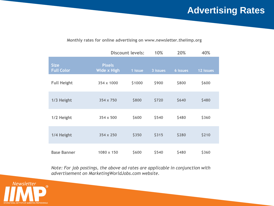# **Advertising Rates**

#### **Monthly rates for online advertising on www.newsletter.theiimp.org**

|                                  | <b>Discount levels:</b>      |         | 10%      | 20%      | 40%       |
|----------------------------------|------------------------------|---------|----------|----------|-----------|
| <b>Size</b><br><b>Full Color</b> | <b>Pixels</b><br>Wide x High | 1 issue | 3 issues | 6 issues | 12 issues |
| <b>Full Height</b>               | 354 x 1000                   | \$1000  | \$900    | \$800    | \$600     |
| 1/3 Height                       | $354 \times 750$             | \$800   | \$720    | \$640    | \$480     |
| 1/2 Height                       | $354 \times 500$             | \$600   | \$540    | \$480    | \$360     |
| 1/4 Height                       | 354 x 250                    | \$350   | \$315    | \$280    | \$210     |
| <b>Base Banner</b>               | $1080 \times 150$            | \$600   | \$540    | \$480    | \$360     |

*Note: For job postings, the above ad rates are applicable in conjunction with advertisement on MarketingWorldJobs.com website.*